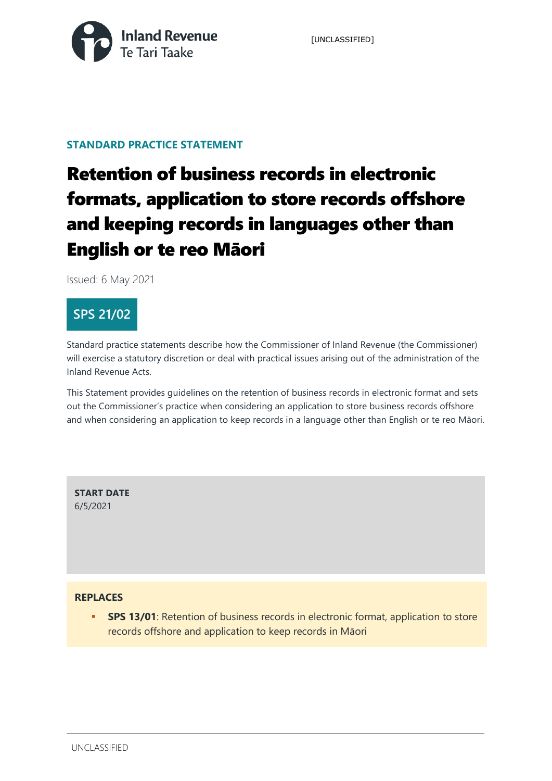

#### **STANDARD PRACTICE STATEMENT**

# Retention of business records in electronic formats, application to store records offshore and keeping records in languages other than English or te reo Māori

Issued: 6 May 2021

### **SPS 21/02**

Standard practice statements describe how the Commissioner of Inland Revenue (the Commissioner) will exercise a statutory discretion or deal with practical issues arising out of the administration of the Inland Revenue Acts.

This Statement provides guidelines on the retention of business records in electronic format and sets out the Commissioner's practice when considering an application to store business records offshore and when considering an application to keep records in a language other than English or te reo Māori.

**START DATE**  6/5/2021

#### **REPLACES**

**SPS 13/01**: Retention of business records in electronic format, application to store records offshore and application to keep records in Māori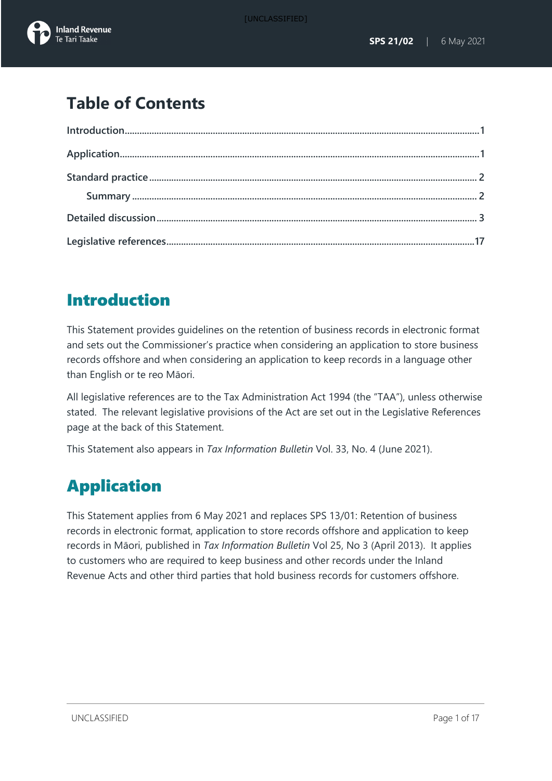## **Table of Contents**

## <span id="page-1-0"></span>Introduction

This Statement provides guidelines on the retention of business records in electronic format and sets out the Commissioner's practice when considering an application to store business records offshore and when considering an application to keep records in a language other than English or te reo Māori.

All legislative references are to the Tax Administration Act 1994 (the "TAA"), unless otherwise stated. The relevant legislative provisions of the Act are set out in the Legislative References page at the back of this Statement.

This Statement also appears in *Tax Information Bulletin* Vol. 33, No. 4 (June 2021).

# <span id="page-1-1"></span>Application

<span id="page-1-2"></span>This Statement applies from 6 May 2021 and replaces SPS 13/01: Retention of business records in electronic format, application to store records offshore and application to keep records in Māori, published in *Tax Information Bulletin* Vol 25, No 3 (April 2013). It applies to customers who are required to keep business and other records under the Inland Revenue Acts and other third parties that hold business records for customers offshore.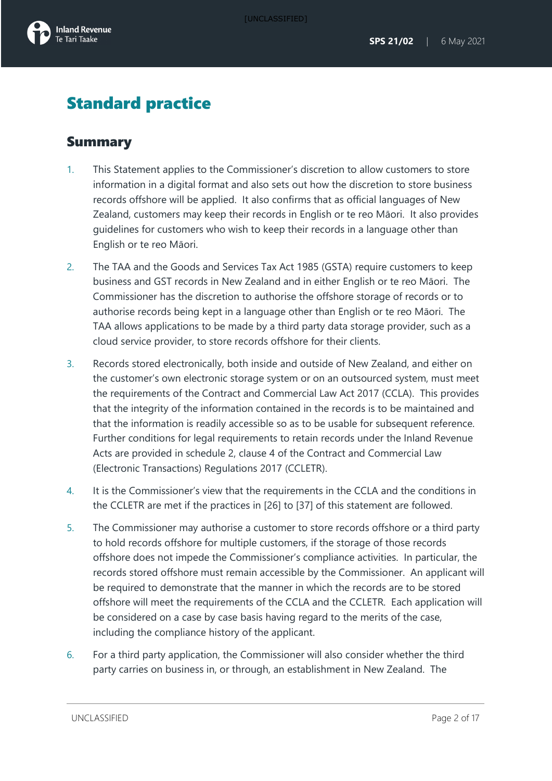

## Standard practice

### <span id="page-2-0"></span>Summary

- 1. This Statement applies to the Commissioner's discretion to allow customers to store information in a digital format and also sets out how the discretion to store business records offshore will be applied. It also confirms that as official languages of New Zealand, customers may keep their records in English or te reo Māori. It also provides guidelines for customers who wish to keep their records in a language other than English or te reo Māori.
- 2. The TAA and the Goods and Services Tax Act 1985 (GSTA) require customers to keep business and GST records in New Zealand and in either English or te reo Māori. The Commissioner has the discretion to authorise the offshore storage of records or to authorise records being kept in a language other than English or te reo Māori. The TAA allows applications to be made by a third party data storage provider, such as a cloud service provider, to store records offshore for their clients.
- 3. Records stored electronically, both inside and outside of New Zealand, and either on the customer's own electronic storage system or on an outsourced system, must meet the requirements of the Contract and Commercial Law Act 2017 (CCLA). This provides that the integrity of the information contained in the records is to be maintained and that the information is readily accessible so as to be usable for subsequent reference. Further conditions for legal requirements to retain records under the Inland Revenue Acts are provided in schedule 2, clause 4 of the Contract and Commercial Law (Electronic Transactions) Regulations 2017 (CCLETR).
- 4. It is the Commissioner's view that the requirements in the CCLA and the conditions in the CCLETR are met if the practices in [26] to [37] of this statement are followed.
- 5. The Commissioner may authorise a customer to store records offshore or a third party to hold records offshore for multiple customers, if the storage of those records offshore does not impede the Commissioner's compliance activities. In particular, the records stored offshore must remain accessible by the Commissioner. An applicant will be required to demonstrate that the manner in which the records are to be stored offshore will meet the requirements of the CCLA and the CCLETR. Each application will be considered on a case by case basis having regard to the merits of the case, including the compliance history of the applicant.
- 6. For a third party application, the Commissioner will also consider whether the third party carries on business in, or through, an establishment in New Zealand. The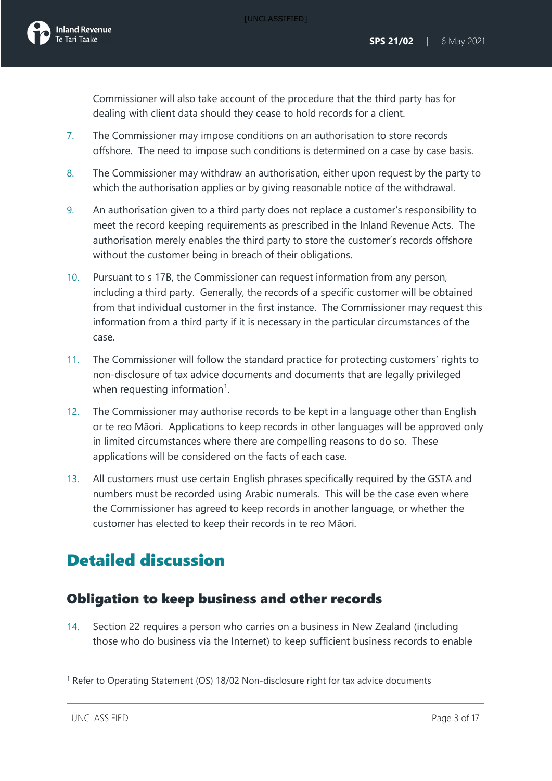Commissioner will also take account of the procedure that the third party has for dealing with client data should they cease to hold records for a client.

- 7. The Commissioner may impose conditions on an authorisation to store records offshore. The need to impose such conditions is determined on a case by case basis.
- 8. The Commissioner may withdraw an authorisation, either upon request by the party to which the authorisation applies or by giving reasonable notice of the withdrawal.
- 9. An authorisation given to a third party does not replace a customer's responsibility to meet the record keeping requirements as prescribed in the Inland Revenue Acts. The authorisation merely enables the third party to store the customer's records offshore without the customer being in breach of their obligations.
- 10. Pursuant to s 17B, the Commissioner can request information from any person, including a third party. Generally, the records of a specific customer will be obtained from that individual customer in the first instance. The Commissioner may request this information from a third party if it is necessary in the particular circumstances of the case.
- 11. The Commissioner will follow the standard practice for protecting customers' rights to non-disclosure of tax advice documents and documents that are legally privileged when requesting information<sup>[1](#page-3-1)</sup>.
- 12. The Commissioner may authorise records to be kept in a language other than English or te reo Māori. Applications to keep records in other languages will be approved only in limited circumstances where there are compelling reasons to do so. These applications will be considered on the facts of each case.
- 13. All customers must use certain English phrases specifically required by the GSTA and numbers must be recorded using Arabic numerals. This will be the case even where the Commissioner has agreed to keep records in another language, or whether the customer has elected to keep their records in te reo Māori.

## <span id="page-3-0"></span>Detailed discussion

### Obligation to keep business and other records

14. Section 22 requires a person who carries on a business in New Zealand (including those who do business via the Internet) to keep sufficient business records to enable

<span id="page-3-1"></span><sup>&</sup>lt;sup>1</sup> Refer to Operating Statement (OS) 18/02 Non-disclosure right for tax advice documents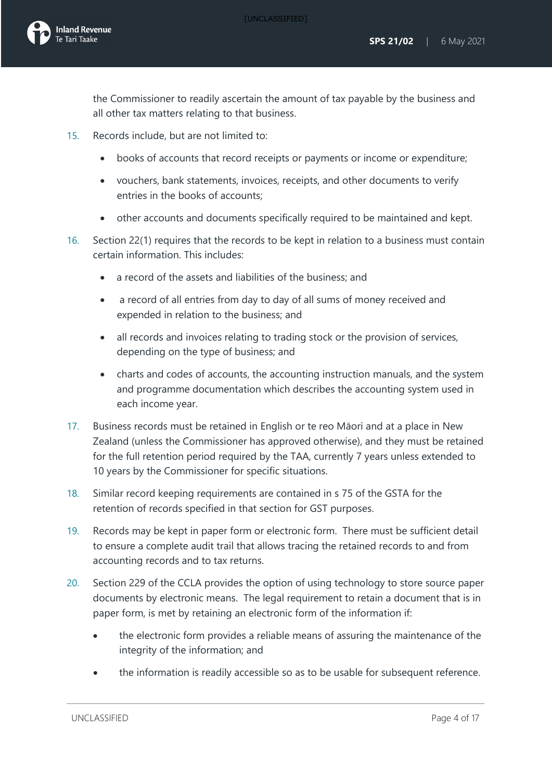[UNCLASSIFIED]

the Commissioner to readily ascertain the amount of tax payable by the business and all other tax matters relating to that business.

- 15. Records include, but are not limited to:
	- books of accounts that record receipts or payments or income or expenditure;
	- vouchers, bank statements, invoices, receipts, and other documents to verify entries in the books of accounts;
	- other accounts and documents specifically required to be maintained and kept.
- 16. Section 22(1) requires that the records to be kept in relation to a business must contain certain information. This includes:
	- a record of the assets and liabilities of the business; and
	- a record of all entries from day to day of all sums of money received and expended in relation to the business; and
	- all records and invoices relating to trading stock or the provision of services, depending on the type of business; and
	- charts and codes of accounts, the accounting instruction manuals, and the system and programme documentation which describes the accounting system used in each income year.
- 17. Business records must be retained in English or te reo Māori and at a place in New Zealand (unless the Commissioner has approved otherwise), and they must be retained for the full retention period required by the TAA, currently 7 years unless extended to 10 years by the Commissioner for specific situations.
- 18. Similar record keeping requirements are contained in s 75 of the GSTA for the retention of records specified in that section for GST purposes.
- 19. Records may be kept in paper form or electronic form. There must be sufficient detail to ensure a complete audit trail that allows tracing the retained records to and from accounting records and to tax returns.
- 20. Section 229 of the CCLA provides the option of using technology to store source paper documents by electronic means. The legal requirement to retain a document that is in paper form, is met by retaining an electronic form of the information if:
	- the electronic form provides a reliable means of assuring the maintenance of the integrity of the information; and
	- the information is readily accessible so as to be usable for subsequent reference.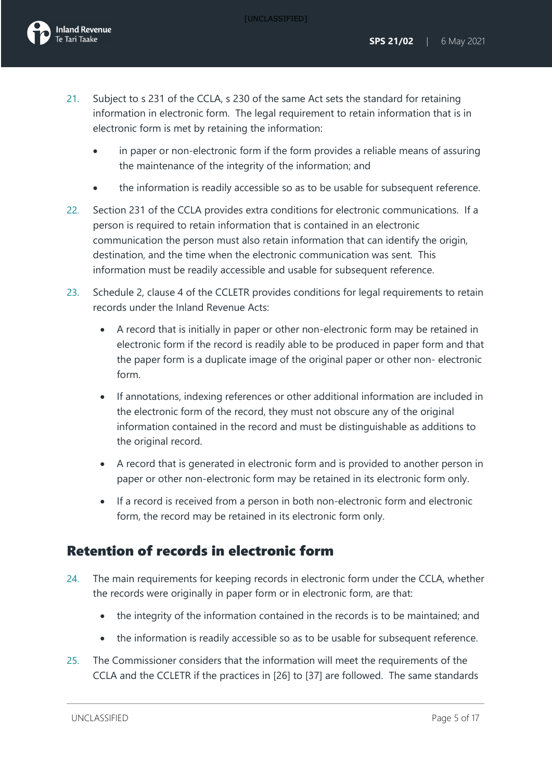- 21. Subject to s 231 of the CCLA, s 230 of the same Act sets the standard for retaining information in electronic form. The legal requirement to retain information that is in electronic form is met by retaining the information:
	- in paper or non-electronic form if the form provides a reliable means of assuring the maintenance of the integrity of the information; and
	- the information is readily accessible so as to be usable for subsequent reference.
- 22. Section 231 of the CCLA provides extra conditions for electronic communications. If a person is required to retain information that is contained in an electronic communication the person must also retain information that can identify the origin, destination, and the time when the electronic communication was sent. This information must be readily accessible and usable for subsequent reference.
- 23. Schedule 2, clause 4 of the CCLETR provides conditions for legal requirements to retain records under the Inland Revenue Acts:
	- A record that is initially in paper or other non-electronic form may be retained in electronic form if the record is readily able to be produced in paper form and that the paper form is a duplicate image of the original paper or other non- electronic form.
	- If annotations, indexing references or other additional information are included in the electronic form of the record, they must not obscure any of the original information contained in the record and must be distinguishable as additions to the original record.
	- A record that is generated in electronic form and is provided to another person in paper or other non-electronic form may be retained in its electronic form only.
	- If a record is received from a person in both non-electronic form and electronic form, the record may be retained in its electronic form only.

### Retention of records in electronic form

- 24. The main requirements for keeping records in electronic form under the CCLA, whether the records were originally in paper form or in electronic form, are that:
	- the integrity of the information contained in the records is to be maintained; and
	- the information is readily accessible so as to be usable for subsequent reference.
- 25. The Commissioner considers that the information will meet the requirements of the CCLA and the CCLETR if the practices in [26] to [37] are followed. The same standards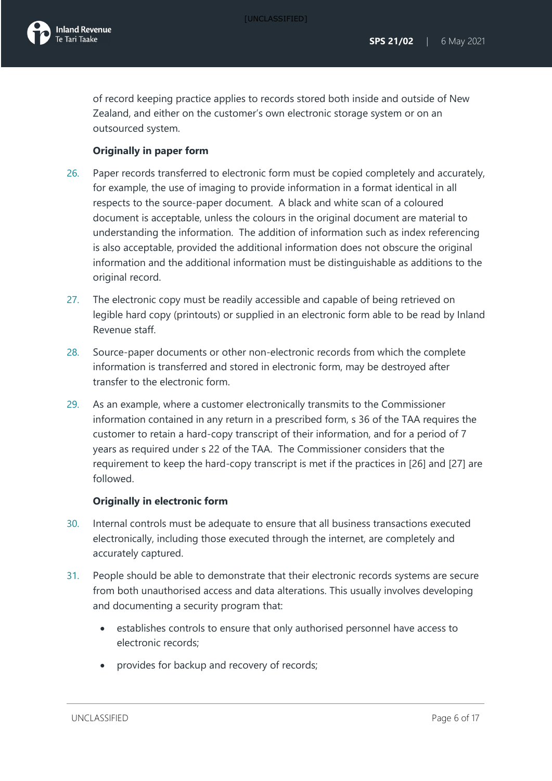

of record keeping practice applies to records stored both inside and outside of New Zealand, and either on the customer's own electronic storage system or on an outsourced system.

#### **Originally in paper form**

- 26. Paper records transferred to electronic form must be copied completely and accurately, for example, the use of imaging to provide information in a format identical in all respects to the source-paper document. A black and white scan of a coloured document is acceptable, unless the colours in the original document are material to understanding the information. The addition of information such as index referencing is also acceptable, provided the additional information does not obscure the original information and the additional information must be distinguishable as additions to the original record.
- 27. The electronic copy must be readily accessible and capable of being retrieved on legible hard copy (printouts) or supplied in an electronic form able to be read by Inland Revenue staff.
- 28. Source-paper documents or other non-electronic records from which the complete information is transferred and stored in electronic form, may be destroyed after transfer to the electronic form.
- 29. As an example, where a customer electronically transmits to the Commissioner information contained in any return in a prescribed form, s 36 of the TAA requires the customer to retain a hard-copy transcript of their information, and for a period of 7 years as required under s 22 of the TAA. The Commissioner considers that the requirement to keep the hard-copy transcript is met if the practices in [26] and [27] are followed.

#### **Originally in electronic form**

- 30. Internal controls must be adequate to ensure that all business transactions executed electronically, including those executed through the internet, are completely and accurately captured.
- 31. People should be able to demonstrate that their electronic records systems are secure from both unauthorised access and data alterations. This usually involves developing and documenting a security program that:
	- establishes controls to ensure that only authorised personnel have access to electronic records;
	- provides for backup and recovery of records;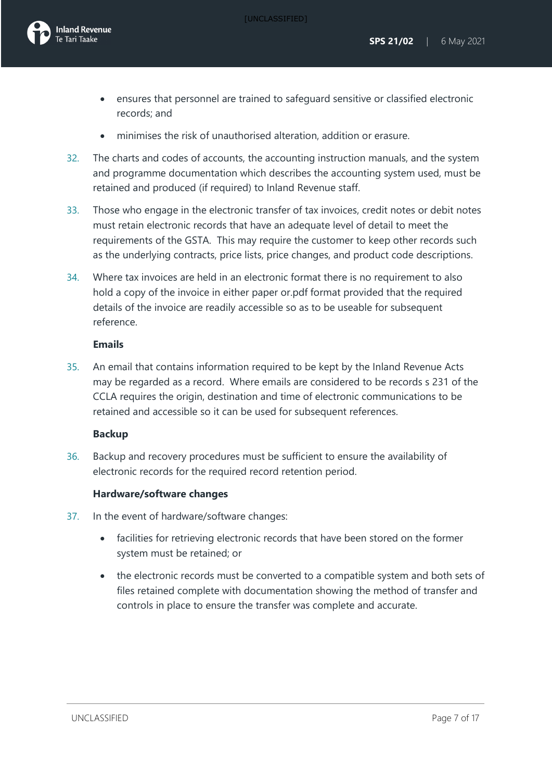- ensures that personnel are trained to safeguard sensitive or classified electronic records; and
- minimises the risk of unauthorised alteration, addition or erasure.
- 32. The charts and codes of accounts, the accounting instruction manuals, and the system and programme documentation which describes the accounting system used, must be retained and produced (if required) to Inland Revenue staff.
- 33. Those who engage in the electronic transfer of tax invoices, credit notes or debit notes must retain electronic records that have an adequate level of detail to meet the requirements of the GSTA. This may require the customer to keep other records such as the underlying contracts, price lists, price changes, and product code descriptions.
- 34. Where tax invoices are held in an electronic format there is no requirement to also hold a copy of the invoice in either paper or.pdf format provided that the required details of the invoice are readily accessible so as to be useable for subsequent reference.

#### **Emails**

35. An email that contains information required to be kept by the Inland Revenue Acts may be regarded as a record. Where emails are considered to be records s 231 of the CCLA requires the origin, destination and time of electronic communications to be retained and accessible so it can be used for subsequent references.

#### **Backup**

36. Backup and recovery procedures must be sufficient to ensure the availability of electronic records for the required record retention period.

#### **Hardware/software changes**

- 37. In the event of hardware/software changes:
	- facilities for retrieving electronic records that have been stored on the former system must be retained; or
	- the electronic records must be converted to a compatible system and both sets of files retained complete with documentation showing the method of transfer and controls in place to ensure the transfer was complete and accurate.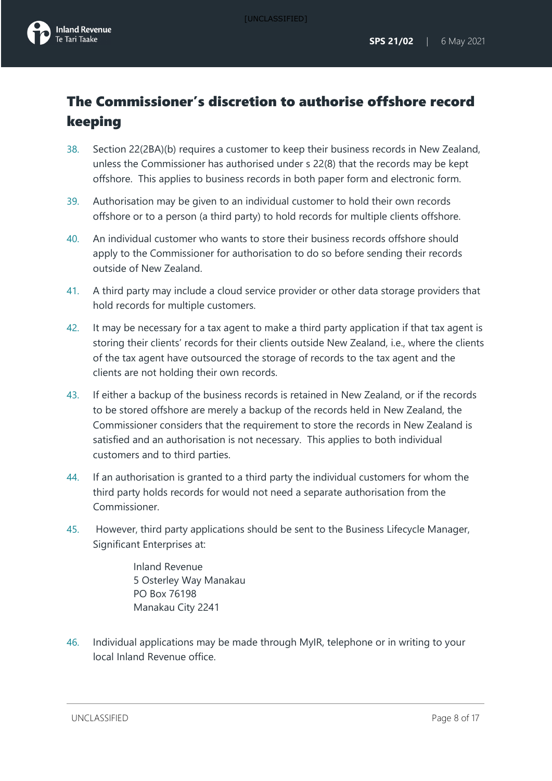## The Commissioner's discretion to authorise offshore record keeping

- 38. Section 22(2BA)(b) requires a customer to keep their business records in New Zealand, unless the Commissioner has authorised under s 22(8) that the records may be kept offshore. This applies to business records in both paper form and electronic form.
- 39. Authorisation may be given to an individual customer to hold their own records offshore or to a person (a third party) to hold records for multiple clients offshore.
- 40. An individual customer who wants to store their business records offshore should apply to the Commissioner for authorisation to do so before sending their records outside of New Zealand.
- 41. A third party may include a cloud service provider or other data storage providers that hold records for multiple customers.
- 42. It may be necessary for a tax agent to make a third party application if that tax agent is storing their clients' records for their clients outside New Zealand, i.e., where the clients of the tax agent have outsourced the storage of records to the tax agent and the clients are not holding their own records.
- 43. If either a backup of the business records is retained in New Zealand, or if the records to be stored offshore are merely a backup of the records held in New Zealand, the Commissioner considers that the requirement to store the records in New Zealand is satisfied and an authorisation is not necessary. This applies to both individual customers and to third parties.
- 44. If an authorisation is granted to a third party the individual customers for whom the third party holds records for would not need a separate authorisation from the Commissioner.
- 45. However, third party applications should be sent to the Business Lifecycle Manager, Significant Enterprises at:

Inland Revenue 5 Osterley Way Manakau PO Box 76198 Manakau City 2241

46. Individual applications may be made through MyIR, telephone or in writing to your local Inland Revenue office.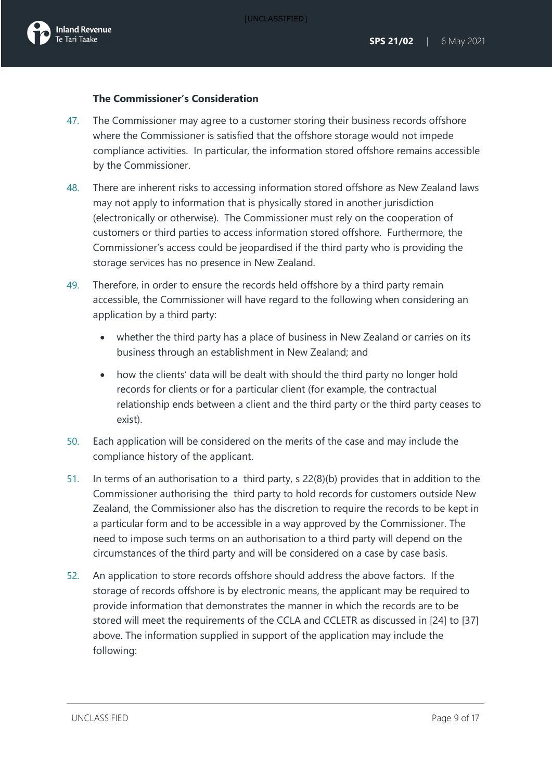#### **The Commissioner's Consideration**

- 47. The Commissioner may agree to a customer storing their business records offshore where the Commissioner is satisfied that the offshore storage would not impede compliance activities. In particular, the information stored offshore remains accessible by the Commissioner.
- 48. There are inherent risks to accessing information stored offshore as New Zealand laws may not apply to information that is physically stored in another jurisdiction (electronically or otherwise). The Commissioner must rely on the cooperation of customers or third parties to access information stored offshore. Furthermore, the Commissioner's access could be jeopardised if the third party who is providing the storage services has no presence in New Zealand.
- 49. Therefore, in order to ensure the records held offshore by a third party remain accessible, the Commissioner will have regard to the following when considering an application by a third party:
	- whether the third party has a place of business in New Zealand or carries on its business through an establishment in New Zealand; and
	- how the clients' data will be dealt with should the third party no longer hold records for clients or for a particular client (for example, the contractual relationship ends between a client and the third party or the third party ceases to exist).
- 50. Each application will be considered on the merits of the case and may include the compliance history of the applicant.
- 51. In terms of an authorisation to a third party, s 22(8)(b) provides that in addition to the Commissioner authorising the third party to hold records for customers outside New Zealand, the Commissioner also has the discretion to require the records to be kept in a particular form and to be accessible in a way approved by the Commissioner. The need to impose such terms on an authorisation to a third party will depend on the circumstances of the third party and will be considered on a case by case basis.
- 52. An application to store records offshore should address the above factors. If the storage of records offshore is by electronic means, the applicant may be required to provide information that demonstrates the manner in which the records are to be stored will meet the requirements of the CCLA and CCLETR as discussed in [24] to [37] above. The information supplied in support of the application may include the following: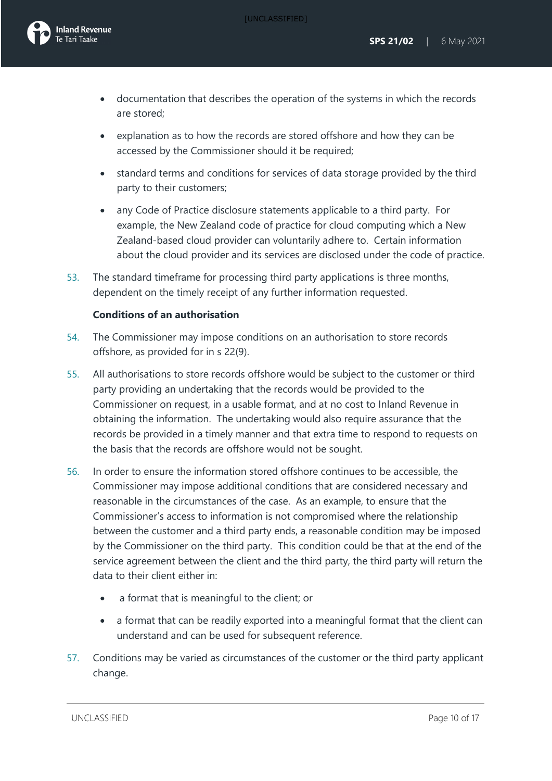[UNCLASSIFIED]



- documentation that describes the operation of the systems in which the records are stored;
- explanation as to how the records are stored offshore and how they can be accessed by the Commissioner should it be required;
- standard terms and conditions for services of data storage provided by the third party to their customers;
- any Code of Practice disclosure statements applicable to a third party. For example, the New Zealand code of practice for cloud computing which a New Zealand-based cloud provider can voluntarily adhere to. Certain information about the cloud provider and its services are disclosed under the code of practice.
- 53. The standard timeframe for processing third party applications is three months, dependent on the timely receipt of any further information requested.

#### **Conditions of an authorisation**

- 54. The Commissioner may impose conditions on an authorisation to store records offshore, as provided for in s 22(9).
- 55. All authorisations to store records offshore would be subject to the customer or third party providing an undertaking that the records would be provided to the Commissioner on request, in a usable format, and at no cost to Inland Revenue in obtaining the information. The undertaking would also require assurance that the records be provided in a timely manner and that extra time to respond to requests on the basis that the records are offshore would not be sought.
- 56. In order to ensure the information stored offshore continues to be accessible, the Commissioner may impose additional conditions that are considered necessary and reasonable in the circumstances of the case. As an example, to ensure that the Commissioner's access to information is not compromised where the relationship between the customer and a third party ends, a reasonable condition may be imposed by the Commissioner on the third party. This condition could be that at the end of the service agreement between the client and the third party, the third party will return the data to their client either in:
	- a format that is meaningful to the client; or
	- a format that can be readily exported into a meaningful format that the client can understand and can be used for subsequent reference.
- 57. Conditions may be varied as circumstances of the customer or the third party applicant change.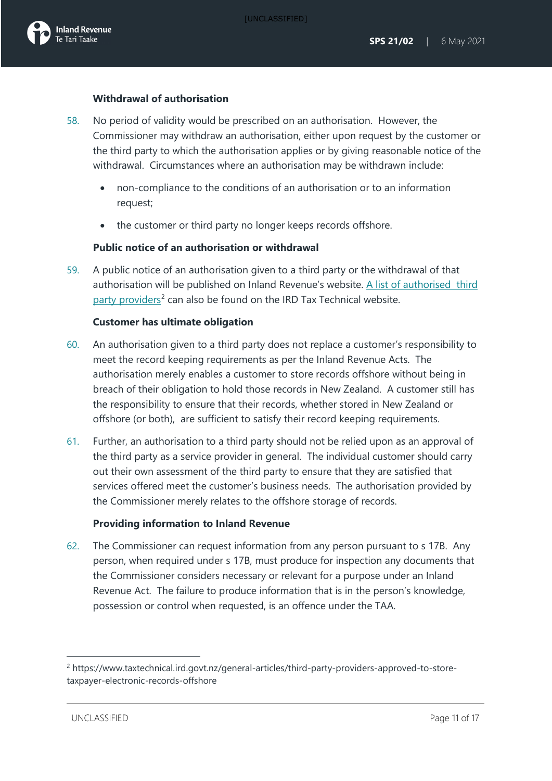#### **Withdrawal of authorisation**

- 58. No period of validity would be prescribed on an authorisation. However, the Commissioner may withdraw an authorisation, either upon request by the customer or the third party to which the authorisation applies or by giving reasonable notice of the withdrawal. Circumstances where an authorisation may be withdrawn include:
	- non-compliance to the conditions of an authorisation or to an information request;
	- the customer or third party no longer keeps records offshore.

#### **Public notice of an authorisation or withdrawal**

59. A public notice of an authorisation given to a third party or the withdrawal of that authorisation will be published on Inland Revenue's website. A list of authorised third [party providers](https://www.taxtechnical.ird.govt.nz/general-articles/third-party-providers-approved-to-store-taxpayer-electronic-records-offshore)<sup>[2](#page-11-0)</sup> can also be found on the IRD Tax Technical website.

#### **Customer has ultimate obligation**

- 60. An authorisation given to a third party does not replace a customer's responsibility to meet the record keeping requirements as per the Inland Revenue Acts. The authorisation merely enables a customer to store records offshore without being in breach of their obligation to hold those records in New Zealand. A customer still has the responsibility to ensure that their records, whether stored in New Zealand or offshore (or both), are sufficient to satisfy their record keeping requirements.
- 61. Further, an authorisation to a third party should not be relied upon as an approval of the third party as a service provider in general. The individual customer should carry out their own assessment of the third party to ensure that they are satisfied that services offered meet the customer's business needs. The authorisation provided by the Commissioner merely relates to the offshore storage of records.

#### **Providing information to Inland Revenue**

62. The Commissioner can request information from any person pursuant to s 17B. Any person, when required under s 17B, must produce for inspection any documents that the Commissioner considers necessary or relevant for a purpose under an Inland Revenue Act. The failure to produce information that is in the person's knowledge, possession or control when requested, is an offence under the TAA.

<span id="page-11-0"></span><sup>2</sup> https://www.taxtechnical.ird.govt.nz/general-articles/third-party-providers-approved-to-storetaxpayer-electronic-records-offshore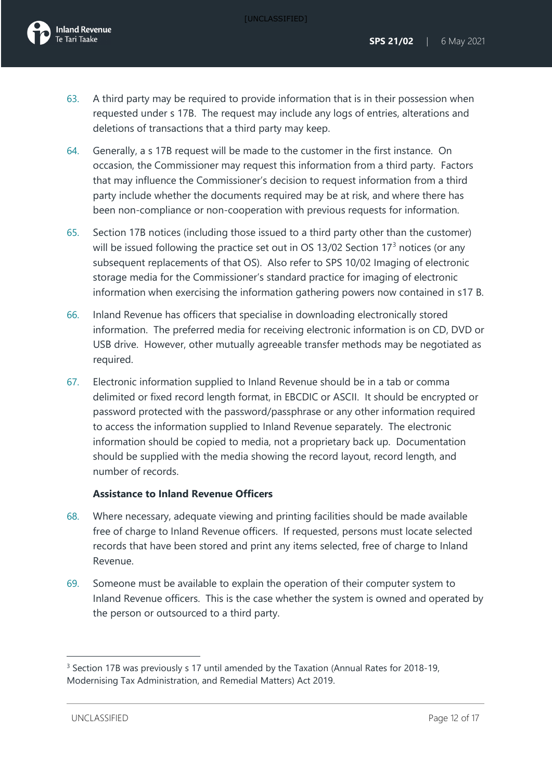- 63. A third party may be required to provide information that is in their possession when requested under s 17B. The request may include any logs of entries, alterations and deletions of transactions that a third party may keep.
- 64. Generally, a s 17B request will be made to the customer in the first instance. On occasion, the Commissioner may request this information from a third party. Factors that may influence the Commissioner's decision to request information from a third party include whether the documents required may be at risk, and where there has been non-compliance or non-cooperation with previous requests for information.
- 65. Section 17B notices (including those issued to a third party other than the customer) will be issued following the practice set out in OS 1[3](#page-12-0)/02 Section  $17<sup>3</sup>$  notices (or any subsequent replacements of that OS). Also refer to SPS 10/02 Imaging of electronic storage media for the Commissioner's standard practice for imaging of electronic information when exercising the information gathering powers now contained in s17 B.
- 66. Inland Revenue has officers that specialise in downloading electronically stored information. The preferred media for receiving electronic information is on CD, DVD or USB drive. However, other mutually agreeable transfer methods may be negotiated as required.
- 67. Electronic information supplied to Inland Revenue should be in a tab or comma delimited or fixed record length format, in EBCDIC or ASCII. It should be encrypted or password protected with the password/passphrase or any other information required to access the information supplied to Inland Revenue separately. The electronic information should be copied to media, not a proprietary back up. Documentation should be supplied with the media showing the record layout, record length, and number of records.

#### **Assistance to Inland Revenue Officers**

- 68. Where necessary, adequate viewing and printing facilities should be made available free of charge to Inland Revenue officers. If requested, persons must locate selected records that have been stored and print any items selected, free of charge to Inland Revenue.
- 69. Someone must be available to explain the operation of their computer system to Inland Revenue officers. This is the case whether the system is owned and operated by the person or outsourced to a third party.

<span id="page-12-0"></span><sup>&</sup>lt;sup>3</sup> Section 17B was previously s 17 until amended by the Taxation (Annual Rates for 2018-19, Modernising Tax Administration, and Remedial Matters) Act 2019.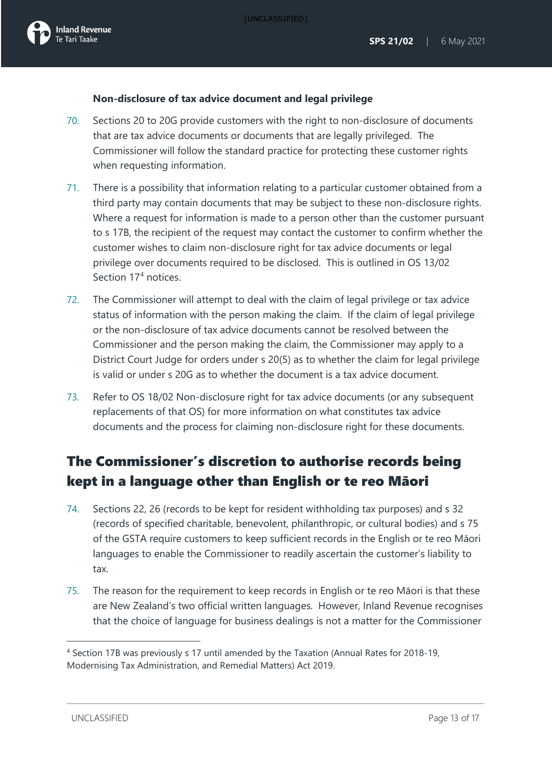### **Non-disclosure of tax advice document and legal privilege**

- 70. Sections 20 to 20G provide customers with the right to non-disclosure of documents that are tax advice documents or documents that are legally privileged. The Commissioner will follow the standard practice for protecting these customer rights when requesting information.
- 71. There is a possibility that information relating to a particular customer obtained from a third party may contain documents that may be subject to these non-disclosure rights. Where a request for information is made to a person other than the customer pursuant to s 17B, the recipient of the request may contact the customer to confirm whether the customer wishes to claim non-disclosure right for tax advice documents or legal privilege over documents required to be disclosed. This is outlined in OS 13/02 Section 17<sup>[4](#page-13-0)</sup> notices.
- 72. The Commissioner will attempt to deal with the claim of legal privilege or tax advice status of information with the person making the claim. If the claim of legal privilege or the non-disclosure of tax advice documents cannot be resolved between the Commissioner and the person making the claim, the Commissioner may apply to a District Court Judge for orders under s 20(5) as to whether the claim for legal privilege is valid or under s 20G as to whether the document is a tax advice document.
- 73. Refer to OS 18/02 Non-disclosure right for tax advice documents (or any subsequent replacements of that OS) for more information on what constitutes tax advice documents and the process for claiming non-disclosure right for these documents.

## The Commissioner's discretion to authorise records being kept in a language other than English or te reo Māori

- 74. Sections 22, 26 (records to be kept for resident withholding tax purposes) and s 32 (records of specified charitable, benevolent, philanthropic, or cultural bodies) and s 75 of the GSTA require customers to keep sufficient records in the English or te reo Māori languages to enable the Commissioner to readily ascertain the customer's liability to tax.
- 75. The reason for the requirement to keep records in English or te reo Māori is that these are New Zealand's two official written languages. However, Inland Revenue recognises that the choice of language for business dealings is not a matter for the Commissioner

<span id="page-13-0"></span><sup>4</sup> Section 17B was previously s 17 until amended by the Taxation (Annual Rates for 2018-19, Modernising Tax Administration, and Remedial Matters) Act 2019.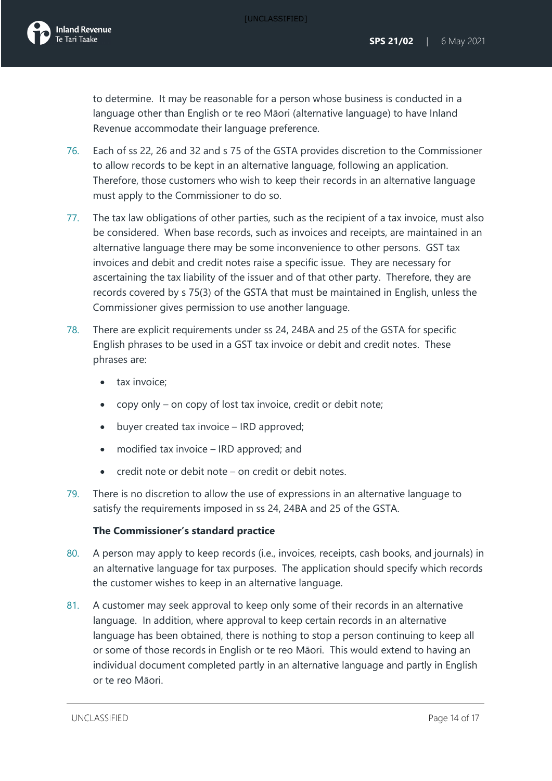to determine. It may be reasonable for a person whose business is conducted in a language other than English or te reo Māori (alternative language) to have Inland Revenue accommodate their language preference.

- 76. Each of ss 22, 26 and 32 and s 75 of the GSTA provides discretion to the Commissioner to allow records to be kept in an alternative language, following an application. Therefore, those customers who wish to keep their records in an alternative language must apply to the Commissioner to do so.
- 77. The tax law obligations of other parties, such as the recipient of a tax invoice, must also be considered. When base records, such as invoices and receipts, are maintained in an alternative language there may be some inconvenience to other persons. GST tax invoices and debit and credit notes raise a specific issue. They are necessary for ascertaining the tax liability of the issuer and of that other party. Therefore, they are records covered by s 75(3) of the GSTA that must be maintained in English, unless the Commissioner gives permission to use another language.
- 78. There are explicit requirements under ss 24, 24BA and 25 of the GSTA for specific English phrases to be used in a GST tax invoice or debit and credit notes. These phrases are:
	- tax invoice:
	- copy only on copy of lost tax invoice, credit or debit note;
	- buyer created tax invoice IRD approved;
	- modified tax invoice IRD approved; and
	- credit note or debit note on credit or debit notes.
- 79. There is no discretion to allow the use of expressions in an alternative language to satisfy the requirements imposed in ss 24, 24BA and 25 of the GSTA.

#### **The Commissioner's standard practice**

- 80. A person may apply to keep records (i.e., invoices, receipts, cash books, and journals) in an alternative language for tax purposes. The application should specify which records the customer wishes to keep in an alternative language.
- 81. A customer may seek approval to keep only some of their records in an alternative language. In addition, where approval to keep certain records in an alternative language has been obtained, there is nothing to stop a person continuing to keep all or some of those records in English or te reo Māori. This would extend to having an individual document completed partly in an alternative language and partly in English or te reo Māori.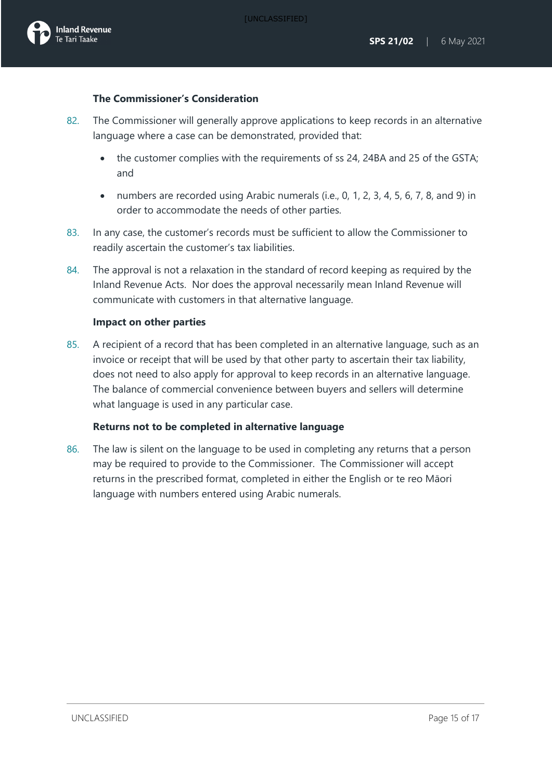### **The Commissioner's Consideration**

- 82. The Commissioner will generally approve applications to keep records in an alternative language where a case can be demonstrated, provided that:
	- the customer complies with the requirements of ss 24, 24BA and 25 of the GSTA; and
	- numbers are recorded using Arabic numerals (i.e., 0, 1, 2, 3, 4, 5, 6, 7, 8, and 9) in order to accommodate the needs of other parties.
- 83. In any case, the customer's records must be sufficient to allow the Commissioner to readily ascertain the customer's tax liabilities.
- 84. The approval is not a relaxation in the standard of record keeping as required by the Inland Revenue Acts. Nor does the approval necessarily mean Inland Revenue will communicate with customers in that alternative language.

#### **Impact on other parties**

85. A recipient of a record that has been completed in an alternative language, such as an invoice or receipt that will be used by that other party to ascertain their tax liability, does not need to also apply for approval to keep records in an alternative language. The balance of commercial convenience between buyers and sellers will determine what language is used in any particular case.

#### **Returns not to be completed in alternative language**

86. The law is silent on the language to be used in completing any returns that a person may be required to provide to the Commissioner. The Commissioner will accept returns in the prescribed format, completed in either the English or te reo Māori language with numbers entered using Arabic numerals.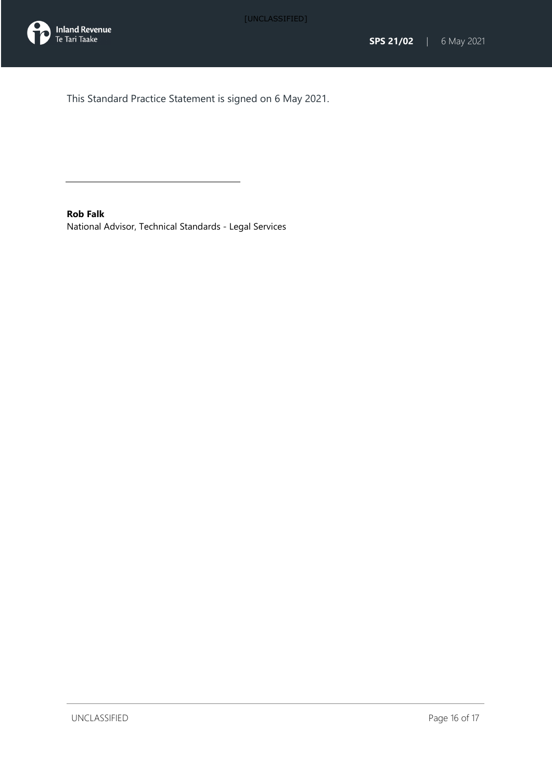



This Standard Practice Statement is signed on 6 May 2021.

<span id="page-16-0"></span>**Rob Falk** National Advisor, Technical Standards - Legal Services